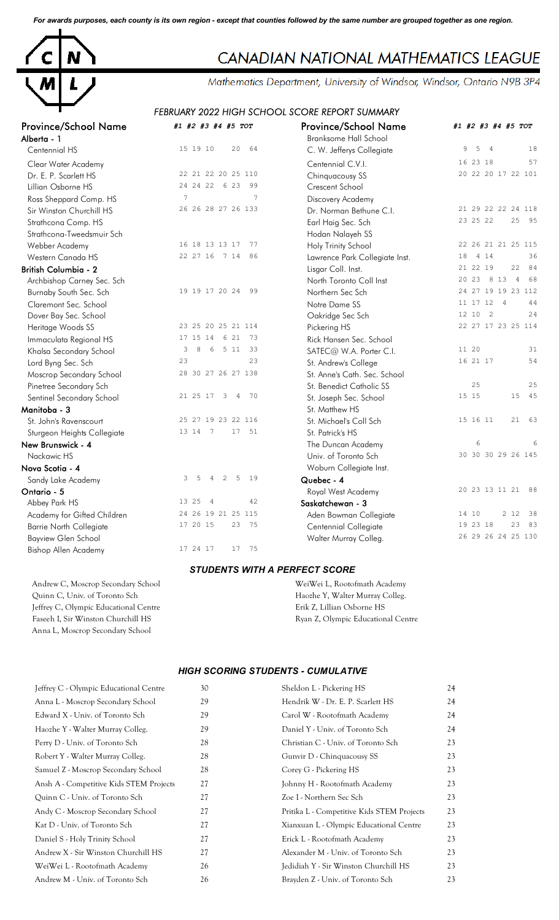*For awards purposes, each county is its own region - except that counties followed by the same number are grouped together as one region.*



# CANADIAN NATIONAL MATHEMATICS LEAGUE

Mathematics Department, University of Windsor, Windsor, Ontario N9B 3P4

## *FEBRUARY 2022 HIGH SCHOOL SCORE REPORT SUMMARY*

| <b>Province/School Name</b>    | #1 #2 #3 #4 #5 TOT                       | <b>Province/School Name</b>    | #1 #2 #3 #4 #5 TOT                 |
|--------------------------------|------------------------------------------|--------------------------------|------------------------------------|
| Alberta - 1                    |                                          | <b>Branksome Hall School</b>   |                                    |
| Centennial HS                  | 15 19 10<br>20<br>64                     | C. W. Jefferys Collegiate      | 9<br>18<br>5<br>$\overline{4}$     |
| Clear Water Academy            |                                          | Centennial C.V.I.              | 57<br>16 23 18                     |
| Dr. E. P. Scarlett HS          | 22 21 22 20 25 110                       | Chinquacousy SS                | 20 22 20 17 22 101                 |
| Lillian Osborne HS             | 24 24 22 6 23<br>99                      | Crescent School                |                                    |
| Ross Sheppard Comp. HS         | $7\phantom{.0}$<br>$\overline{7}$        | Discovery Academy              |                                    |
| Sir Winston Churchill HS       | 26 26 28 27 26 133                       | Dr. Norman Bethune C.I.        | 21 29 22 22 24 118                 |
| Strathcona Comp. HS            |                                          | Earl Haig Sec. Sch             | 23 25 22<br>25<br>95               |
| Strathcona-Tweedsmuir Sch      |                                          | Hodan Nalayeh SS               |                                    |
| Webber Academy                 | 16 18 13 13 17<br>77                     | Holy Trinity School            | 22 26 21 21 25 115                 |
| Western Canada HS              | 22 27 16 7 14<br>86                      | Lawrence Park Collegiate Inst. | 18<br>4 1 4<br>36                  |
| <b>British Columbia - 2</b>    |                                          | Lisgar Coll. Inst.             | 22<br>21 22 19<br>84               |
| Archbishop Carney Sec. Sch     |                                          | North Toronto Coll Inst        | 20 23 8 13<br>$\overline{4}$<br>68 |
| Burnaby South Sec. Sch         | 19 19 17 20 24<br>99                     | Northern Sec Sch               | 24 27 19 19 23 112                 |
| Claremont Sec. School          |                                          | Notre Dame SS                  | 11 17 12<br>$\overline{4}$<br>44   |
| Dover Bay Sec. School          |                                          | Oakridge Sec Sch               | 12 10<br>$\overline{2}$<br>24      |
| Heritage Woods SS              | 23 25 20 25 21 114                       | Pickering HS                   | 22 27 17 23 25 114                 |
| Immaculata Regional HS         | 17 15 14 6 21<br>73                      | Rick Hansen Sec. School        |                                    |
| Khalsa Secondary School        | 511<br>$\,8\,$<br>6<br>33<br>3           | SATEC@ W.A. Porter C.I.        | 11 20<br>31                        |
| Lord Byng Sec. Sch             | 23<br>23                                 | St. Andrew's College           | 16 21 17<br>54                     |
| Moscrop Secondary School       | 28 30 27 26 27 138                       | St. Anne's Cath. Sec. School   |                                    |
| Pinetree Secondary Sch         |                                          | St. Benedict Catholic SS       | 25<br>25                           |
| Sentinel Secondary School      | 21 25 17<br>70<br>3<br>4                 | St. Joseph Sec. School         | 45<br>15 15<br>15                  |
| Manitoba - 3                   |                                          | St. Matthew HS                 |                                    |
| St. John's Ravenscourt         | 25 27 19 23 22 116                       | St. Michael's Coll Sch         | 15 16 11<br>21<br>63               |
| Sturgeon Heights Collegiate    | 13 14 7<br>17<br>51                      | St. Patrick's HS               |                                    |
| New Brunswick - 4              |                                          | The Duncan Academy             | 6<br>6                             |
| Nackawic HS                    |                                          | Univ. of Toronto Sch           | 30 30 30 29 26 145                 |
| Nova Scotia - 4                |                                          | Woburn Collegiate Inst.        |                                    |
| Sandy Lake Academy             | 2<br>5<br>19<br>3<br>5<br>$\overline{4}$ | Quebec - 4                     |                                    |
| Ontario - 5                    |                                          | Royal West Academy             | 20 23 13 11 21 88                  |
| Abbey Park HS                  | 42<br>13 25<br>$\overline{4}$            | Saskatchewan - 3               |                                    |
| Academy for Gifted Children    | 24 26 19 21 25 115                       | Aden Bowman Collegiate         | 2 1 2<br>14 10<br>38               |
| <b>Barrie North Collegiate</b> | 17 20 15<br>23<br>75                     | Centennial Collegiate          | 19 23 18<br>23<br>83               |
| <b>Bayview Glen School</b>     |                                          | Walter Murray Colleg.          | 26 29 26 24 25 130                 |
| Bishop Allen Academy           | 75<br>17 24 17<br>17                     |                                |                                    |

#### *STUDENTS WITH A PERFECT SCORE*

Quinn C, Univ. of Toronto Sch Haozhe Y, Walter Murray Colleg. Jeffrey C, Olympic Educational Centre Erik Z, Lillian Osborne HS Faseeh I, Sir Winston Churchill HS **Ryan Z, Olympic Educational Centre** Anna L, Moscrop Secondary School

Andrew C, Moscrop Secondary School WeiWei L, Rootofmath Academy

#### *HIGH SCORING STUDENTS - CUMULATIVE*

| Jeffrey C - Olympic Educational Centre  | 30 | Sheldon L - Pickering HS                   | 24 |
|-----------------------------------------|----|--------------------------------------------|----|
| Anna L - Moscrop Secondary School       | 29 | Hendrik W - Dr. E. P. Scarlett HS          | 24 |
| Edward X - Univ. of Toronto Sch         | 29 | Carol W - Rootofmath Academy               | 24 |
| Haozhe Y - Walter Murray Colleg.        | 29 | Daniel Y - Univ. of Toronto Sch            | 24 |
| Perry D - Univ. of Toronto Sch          | 28 | Christian C - Univ. of Toronto Sch         | 23 |
| Robert Y - Walter Murray Colleg.        | 28 | Gunvir D - Chinquacousy SS                 | 23 |
| Samuel Z - Moscrop Secondary School     | 28 | Corey G - Pickering HS                     | 23 |
| Ansh A - Competitive Kids STEM Projects | 27 | Johnny H - Rootofmath Academy              | 23 |
| Quinn C - Univ. of Toronto Sch          | 27 | Zoe I - Northern Sec Sch                   | 23 |
| Andy C - Moscrop Secondary School       | 27 | Pritika L - Competitive Kids STEM Projects | 23 |
| Kat D - Univ. of Toronto Sch            | 27 | Xianxuan L - Olympic Educational Centre    | 23 |
| Daniel S - Holy Trinity School          | 27 | Erick L - Rootofmath Academy               | 23 |
| Andrew X - Sir Winston Churchill HS     | 27 | Alexander M - Univ. of Toronto Sch         | 23 |
| WeiWei L - Rootofmath Academy           | 26 | Jedidiah Y - Sir Winston Churchill HS      | 23 |
| Andrew M - Univ. of Toronto Sch         | 26 | Brayden Z - Univ. of Toronto Sch           | 23 |